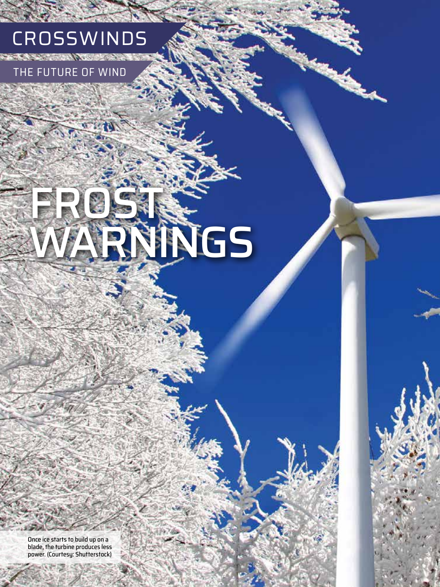

the state of the state

RE OF WIND

# FROSTS. **LINGS**

Once ice starts to build up on a blade, the turbine produces less power. (Courtesy: Shutterstock)

**44 COMPUTER**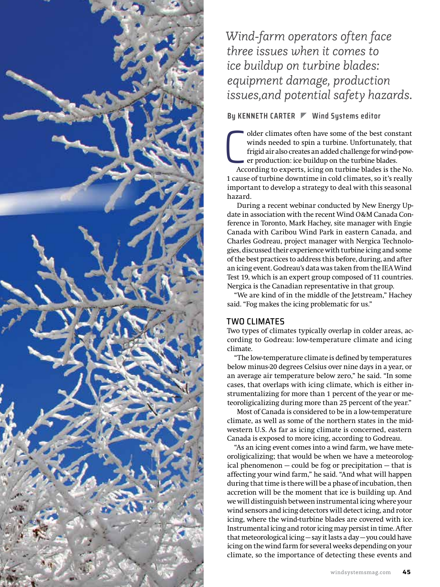

### *Wind-farm operators often face three issues when it comes to ice buildup on turbine blades: equipment damage, production issues,and potential safety hazards.*

### **By KENNETH CARTER Wind Systems editor**

 $\bigcup_{\text{Acc}}$ older climates often have some of the best constant winds needed to spin a turbine. Unfortunately, that frigid air also creates an added challenge for wind-power production: ice buildup on the turbine blades.

According to experts, icing on turbine blades is the No. 1 cause of turbine downtime in cold climates, so it's really important to develop a strategy to deal with this seasonal hazard.

During a recent webinar conducted by New Energy Update in association with the recent Wind O&M Canada Conference in Toronto, Mark Hachey, site manager with Engie Canada with Caribou Wind Park in eastern Canada, and Charles Godreau, project manager with Nergica Technologies, discussed their experience with turbine icing and some of the best practices to address this before, during, and after an icing event. Godreau's data was taken from the IEA Wind Test 19, which is an expert group composed of 11 countries. Nergica is the Canadian representative in that group.

"We are kind of in the middle of the Jetstream," Hachey said. "Fog makes the icing problematic for us."

### TWO CLIMATES

Two types of climates typically overlap in colder areas, according to Godreau: low-temperature climate and icing climate.

"The low-temperature climate is defined by temperatures below minus-20 degrees Celsius over nine days in a year, or an average air temperature below zero," he said. "In some cases, that overlaps with icing climate, which is either instrumentalizing for more than 1 percent of the year or meteoroligicalizing during more than 25 percent of the year."

Most of Canada is considered to be in a low-temperature climate, as well as some of the northern states in the midwestern U.S. As far as icing climate is concerned, eastern Canada is exposed to more icing, according to Godreau.

"As an icing event comes into a wind farm, we have meteoroligicalizing; that would be when we have a meteorological phenomenon — could be fog or precipitation — that is affecting your wind farm," he said. "And what will happen during that time is there will be a phase of incubation, then accretion will be the moment that ice is building up. And we will distinguish between instrumental icing where your wind sensors and icing detectors will detect icing, and rotor icing, where the wind-turbine blades are covered with ice. Instrumental icing and rotor icing may persist in time. After that meteorological icing — say it lasts a day — you could have icing on the wind farm for several weeks depending on your climate, so the importance of detecting these events and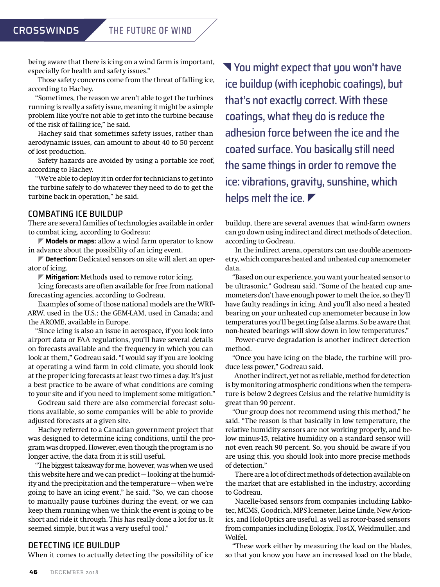being aware that there is icing on a wind farm is important, especially for health and safety issues."

Those safety concerns come from the threat of falling ice, according to Hachey.

"Sometimes, the reason we aren't able to get the turbines running is really a safety issue, meaning it might be a simple problem like you're not able to get into the turbine because of the risk of falling ice," he said.

Hachey said that sometimes safety issues, rather than aerodynamic issues, can amount to about 40 to 50 percent of lost production.

Safety hazards are avoided by using a portable ice roof, according to Hachey.

"We're able to deploy it in order for technicians to get into the turbine safely to do whatever they need to do to get the turbine back in operation," he said.

### COMBATING ICE BUILDUP

There are several families of technologies available in order to combat icing, according to Godreau:

] **Models or maps:** allow a wind farm operator to know in advance about the possibility of an icing event.

**Detection:** Dedicated sensors on site will alert an operator of icing.

] **Mitigation:** Methods used to remove rotor icing.

Icing forecasts are often available for free from national forecasting agencies, according to Godreau.

Examples of some of those national models are the WRF-ARW, used in the U.S.; the GEM-LAM, used in Canada; and the AROME, available in Europe.

"Since icing is also an issue in aerospace, if you look into airport data or FAA regulations, you'll have several details on forecasts available and the frequency in which you can look at them," Godreau said. "I would say if you are looking at operating a wind farm in cold climate, you should look at the proper icing forecasts at least two times a day. It's just a best practice to be aware of what conditions are coming to your site and if you need to implement some mitigation."

Godreau said there are also commercial forecast solutions available, so some companies will be able to provide adjusted forecasts at a given site.

Hachey referred to a Canadian government project that was designed to determine icing conditions, until the program was dropped. However, even though the program is no longer active, the data from it is still useful.

"The biggest takeaway for me, however, was when we used this website here and we can predict — looking at the humidity and the precipitation and the temperature — when we're going to have an icing event," he said. "So, we can choose to manually pause turbines during the event, or we can keep them running when we think the event is going to be short and ride it through. This has really done a lot for us. It seemed simple, but it was a very useful tool."

### DETECTING ICE BUILDUP

When it comes to actually detecting the possibility of ice

 You might expect that you won't have ice buildup (with icephobic coatings), but that's not exactly correct. With these coatings, what they do is reduce the adhesion force between the ice and the coated surface. You basically still need the same things in order to remove the ice: vibrations, gravity, sunshine, which helps melt the ice.

buildup, there are several avenues that wind-farm owners can go down using indirect and direct methods of detection, according to Godreau.

In the indirect arena, operators can use double anemometry, which compares heated and unheated cup anemometer data.

"Based on our experience, you want your heated sensor to be ultrasonic," Godreau said. "Some of the heated cup anemometers don't have enough power to melt the ice, so they'll have faulty readings in icing. And you'll also need a heated bearing on your unheated cup anemometer because in low temperatures you'll be getting false alarms. So be aware that non-heated bearings will slow down in low temperatures."

Power-curve degradation is another indirect detection method.

"Once you have icing on the blade, the turbine will produce less power," Godreau said.

Another indirect, yet not as reliable, method for detection is by monitoring atmospheric conditions when the temperature is below 2 degrees Celsius and the relative humidity is great than 90 percent.

"Our group does not recommend using this method," he said. "The reason is that basically in low temperature, the relative humidity sensors are not working properly, and below minus-15, relative humidity on a standard sensor will not even reach 90 percent. So, you should be aware if you are using this, you should look into more precise methods of detection."

There are a lot of direct methods of detection available on the market that are established in the industry, according to Godreau.

Nacelle-based sensors from companies including Labkotec, MCMS, Goodrich, MPS Icemeter, Leine Linde, New Avionics, and HoloOptics are useful, as well as rotor-based sensors from companies including Eologix, Fos4X, Weidmuller, and Wolfel.

"These work either by measuring the load on the blades, so that you know you have an increased load on the blade,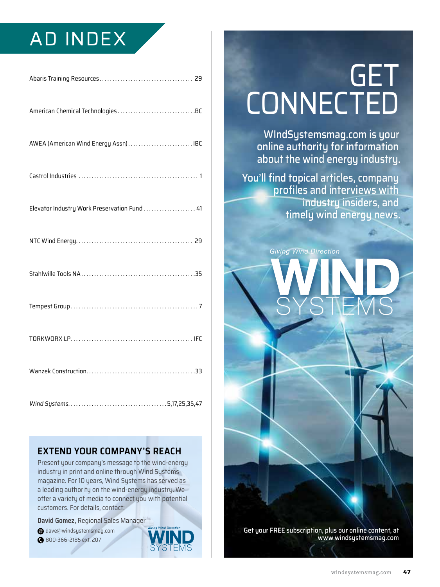### AD INDEX

| AWEA (American Wind Energy Assn) IBC         |
|----------------------------------------------|
|                                              |
| Elevator Industry Work Preservation Fund  41 |
|                                              |
|                                              |
|                                              |
|                                              |
|                                              |
|                                              |

### **EXTEND YOUR COMPANY'S REACH**

Present your company's message to the wind-energy industry in print and online through Wind Systems magazine. For 10 years, Wind Systems has served as a leading authority on the wind-energy industry. We offer a variety of media to connect you with potential customers. For details, contact:

**David Gomez,** Regional Sales Manager

- [dave@windsystemsmag.com](mailto:dave@windsystemsmag.com?subject=Referred by Wind Systems) @
- 800-366-2185 ext. 207

## **GET CONNECTED**

WIndSystemsmag.com is your online authority for information about the wind energy industry.

You'll find topical articles, company profiles and interviews with industry insiders, and timely wind energy news.

**SYSTEMS** 

*Giving Wind Direction*

Get your FREE subscription, plus our online content, at [www.windsystemsmag.com](http://www.windsystemsmag.com)